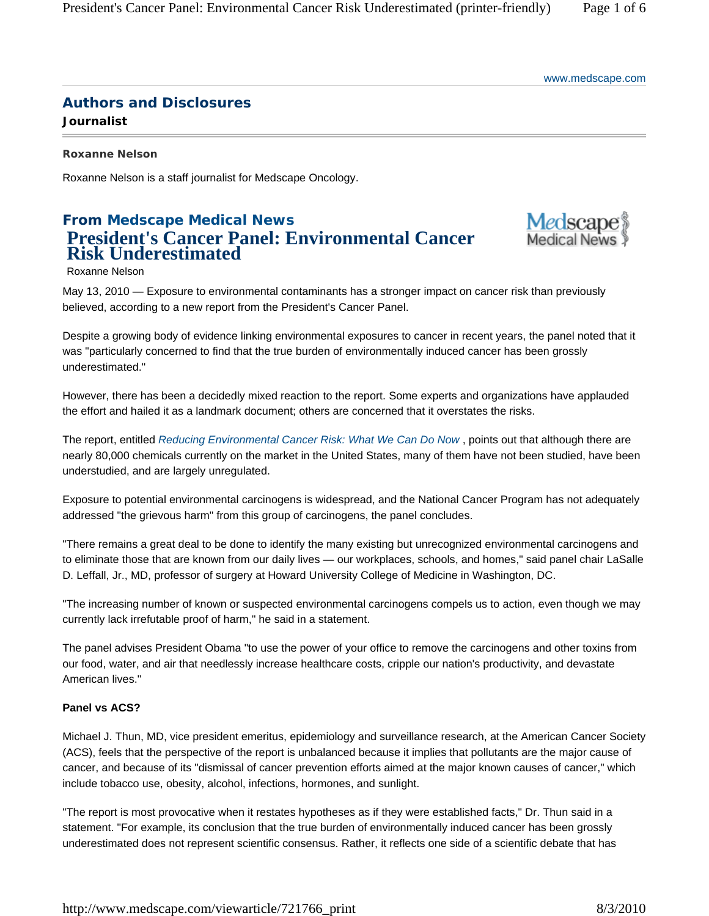# **Authors and Disclosures**

**Journalist** 

**Roxanne Nelson** 

Roxanne Nelson is a staff journalist for Medscape Oncology.

# **From Medscape Medical News President's Cancer Panel: Environmental Cancer Risk Underestimated**



Roxanne Nelson

May 13, 2010 — Exposure to environmental contaminants has a stronger impact on cancer risk than previously believed, according to a new report from the President's Cancer Panel.

Despite a growing body of evidence linking environmental exposures to cancer in recent years, the panel noted that it was "particularly concerned to find that the true burden of environmentally induced cancer has been grossly underestimated."

However, there has been a decidedly mixed reaction to the report. Some experts and organizations have applauded the effort and hailed it as a landmark document; others are concerned that it overstates the risks.

The report, entitled *Reducing Environmental Cancer Risk: What We Can Do Now* , points out that although there are nearly 80,000 chemicals currently on the market in the United States, many of them have not been studied, have been understudied, and are largely unregulated.

Exposure to potential environmental carcinogens is widespread, and the National Cancer Program has not adequately addressed "the grievous harm" from this group of carcinogens, the panel concludes.

"There remains a great deal to be done to identify the many existing but unrecognized environmental carcinogens and to eliminate those that are known from our daily lives — our workplaces, schools, and homes," said panel chair LaSalle D. Leffall, Jr., MD, professor of surgery at Howard University College of Medicine in Washington, DC.

"The increasing number of known or suspected environmental carcinogens compels us to action, even though we may currently lack irrefutable proof of harm," he said in a statement.

The panel advises President Obama "to use the power of your office to remove the carcinogens and other toxins from our food, water, and air that needlessly increase healthcare costs, cripple our nation's productivity, and devastate American lives."

## **Panel vs ACS?**

Michael J. Thun, MD, vice president emeritus, epidemiology and surveillance research, at the American Cancer Society (ACS), feels that the perspective of the report is unbalanced because it implies that pollutants are the major cause of cancer, and because of its "dismissal of cancer prevention efforts aimed at the major known causes of cancer," which include tobacco use, obesity, alcohol, infections, hormones, and sunlight.

"The report is most provocative when it restates hypotheses as if they were established facts," Dr. Thun said in a statement. "For example, its conclusion that the true burden of environmentally induced cancer has been grossly underestimated does not represent scientific consensus. Rather, it reflects one side of a scientific debate that has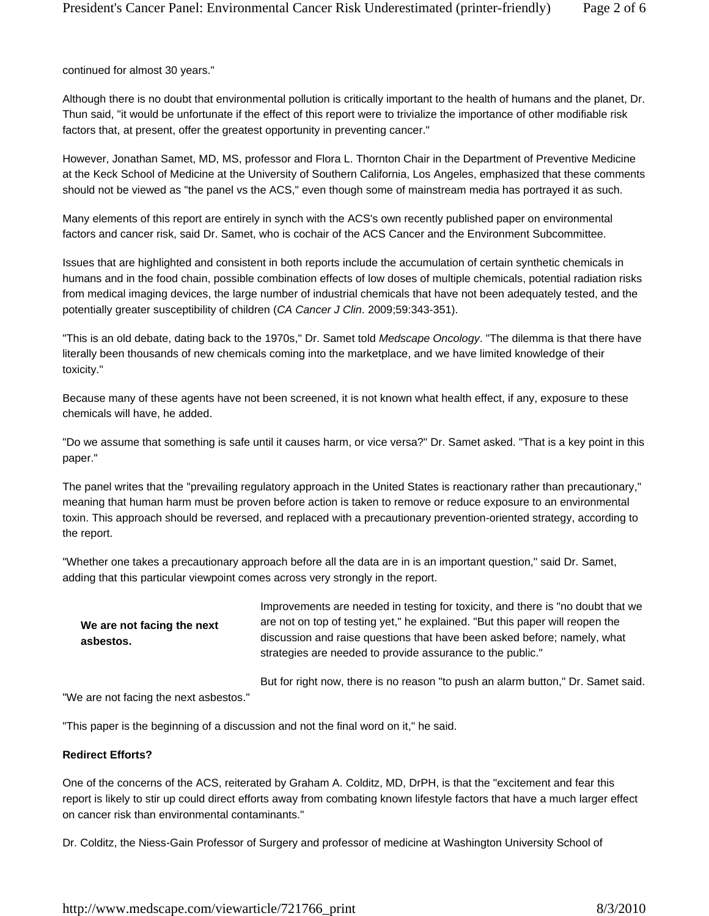continued for almost 30 years."

Although there is no doubt that environmental pollution is critically important to the health of humans and the planet, Dr. Thun said, "it would be unfortunate if the effect of this report were to trivialize the importance of other modifiable risk factors that, at present, offer the greatest opportunity in preventing cancer."

However, Jonathan Samet, MD, MS, professor and Flora L. Thornton Chair in the Department of Preventive Medicine at the Keck School of Medicine at the University of Southern California, Los Angeles, emphasized that these comments should not be viewed as "the panel vs the ACS," even though some of mainstream media has portrayed it as such.

Many elements of this report are entirely in synch with the ACS's own recently published paper on environmental factors and cancer risk, said Dr. Samet, who is cochair of the ACS Cancer and the Environment Subcommittee.

Issues that are highlighted and consistent in both reports include the accumulation of certain synthetic chemicals in humans and in the food chain, possible combination effects of low doses of multiple chemicals, potential radiation risks from medical imaging devices, the large number of industrial chemicals that have not been adequately tested, and the potentially greater susceptibility of children (*CA Cancer J Clin*. 2009;59:343-351).

"This is an old debate, dating back to the 1970s," Dr. Samet told *Medscape Oncology*. "The dilemma is that there have literally been thousands of new chemicals coming into the marketplace, and we have limited knowledge of their toxicity."

Because many of these agents have not been screened, it is not known what health effect, if any, exposure to these chemicals will have, he added.

"Do we assume that something is safe until it causes harm, or vice versa?" Dr. Samet asked. "That is a key point in this paper."

The panel writes that the "prevailing regulatory approach in the United States is reactionary rather than precautionary," meaning that human harm must be proven before action is taken to remove or reduce exposure to an environmental toxin. This approach should be reversed, and replaced with a precautionary prevention-oriented strategy, according to the report.

"Whether one takes a precautionary approach before all the data are in is an important question," said Dr. Samet, adding that this particular viewpoint comes across very strongly in the report.

**We are not facing the next asbestos.** 

Improvements are needed in testing for toxicity, and there is "no doubt that we are not on top of testing yet," he explained. "But this paper will reopen the discussion and raise questions that have been asked before; namely, what strategies are needed to provide assurance to the public."

But for right now, there is no reason "to push an alarm button," Dr. Samet said.

"We are not facing the next asbestos."

"This paper is the beginning of a discussion and not the final word on it," he said.

#### **Redirect Efforts?**

One of the concerns of the ACS, reiterated by Graham A. Colditz, MD, DrPH, is that the "excitement and fear this report is likely to stir up could direct efforts away from combating known lifestyle factors that have a much larger effect on cancer risk than environmental contaminants."

Dr. Colditz, the Niess-Gain Professor of Surgery and professor of medicine at Washington University School of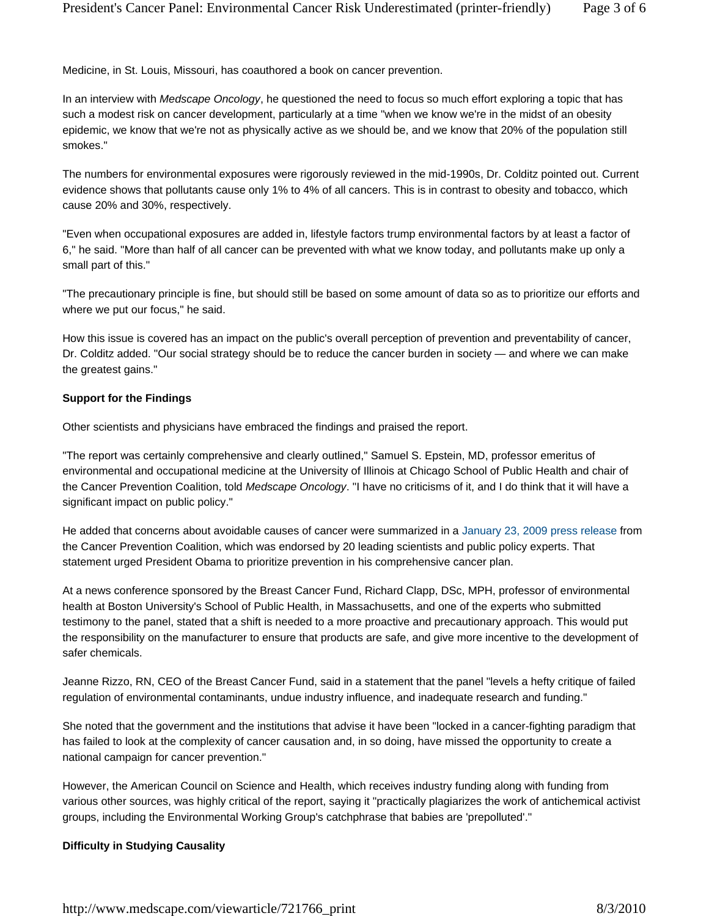Medicine, in St. Louis, Missouri, has coauthored a book on cancer prevention.

In an interview with *Medscape Oncology*, he questioned the need to focus so much effort exploring a topic that has such a modest risk on cancer development, particularly at a time "when we know we're in the midst of an obesity epidemic, we know that we're not as physically active as we should be, and we know that 20% of the population still smokes."

The numbers for environmental exposures were rigorously reviewed in the mid-1990s, Dr. Colditz pointed out. Current evidence shows that pollutants cause only 1% to 4% of all cancers. This is in contrast to obesity and tobacco, which cause 20% and 30%, respectively.

"Even when occupational exposures are added in, lifestyle factors trump environmental factors by at least a factor of 6," he said. "More than half of all cancer can be prevented with what we know today, and pollutants make up only a small part of this."

"The precautionary principle is fine, but should still be based on some amount of data so as to prioritize our efforts and where we put our focus," he said.

How this issue is covered has an impact on the public's overall perception of prevention and preventability of cancer, Dr. Colditz added. "Our social strategy should be to reduce the cancer burden in society — and where we can make the greatest gains."

#### **Support for the Findings**

Other scientists and physicians have embraced the findings and praised the report.

"The report was certainly comprehensive and clearly outlined," Samuel S. Epstein, MD, professor emeritus of environmental and occupational medicine at the University of Illinois at Chicago School of Public Health and chair of the Cancer Prevention Coalition, told *Medscape Oncology*. "I have no criticisms of it, and I do think that it will have a significant impact on public policy."

He added that concerns about avoidable causes of cancer were summarized in a January 23, 2009 press release from the Cancer Prevention Coalition, which was endorsed by 20 leading scientists and public policy experts. That statement urged President Obama to prioritize prevention in his comprehensive cancer plan.

At a news conference sponsored by the Breast Cancer Fund, Richard Clapp, DSc, MPH, professor of environmental health at Boston University's School of Public Health, in Massachusetts, and one of the experts who submitted testimony to the panel, stated that a shift is needed to a more proactive and precautionary approach. This would put the responsibility on the manufacturer to ensure that products are safe, and give more incentive to the development of safer chemicals.

Jeanne Rizzo, RN, CEO of the Breast Cancer Fund, said in a statement that the panel "levels a hefty critique of failed regulation of environmental contaminants, undue industry influence, and inadequate research and funding."

She noted that the government and the institutions that advise it have been "locked in a cancer-fighting paradigm that has failed to look at the complexity of cancer causation and, in so doing, have missed the opportunity to create a national campaign for cancer prevention."

However, the American Council on Science and Health, which receives industry funding along with funding from various other sources, was highly critical of the report, saying it "practically plagiarizes the work of antichemical activist groups, including the Environmental Working Group's catchphrase that babies are 'prepolluted'."

#### **Difficulty in Studying Causality**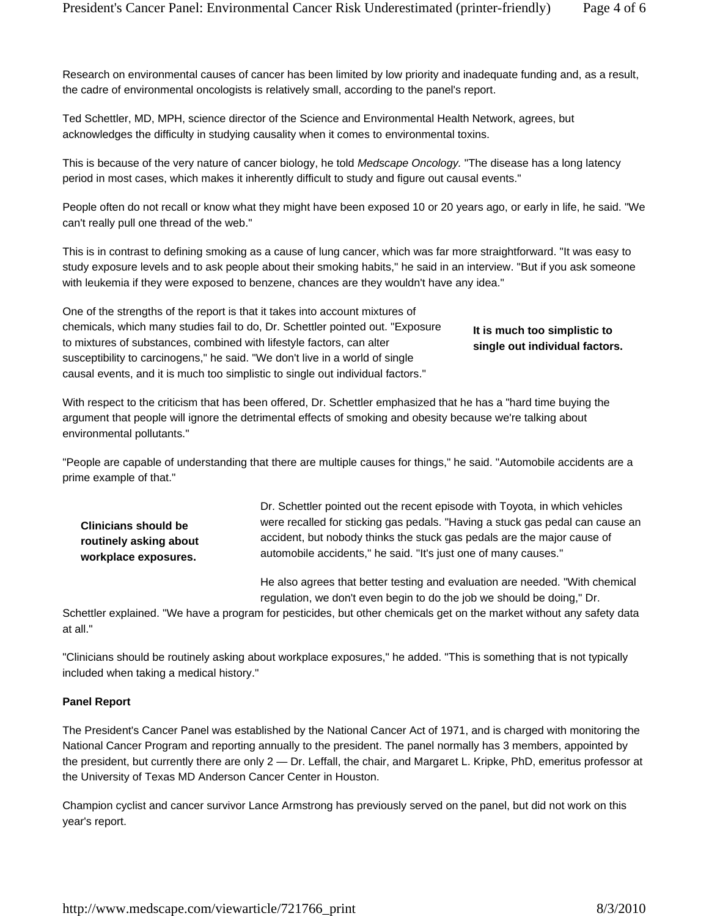Research on environmental causes of cancer has been limited by low priority and inadequate funding and, as a result, the cadre of environmental oncologists is relatively small, according to the panel's report.

Ted Schettler, MD, MPH, science director of the Science and Environmental Health Network, agrees, but acknowledges the difficulty in studying causality when it comes to environmental toxins.

This is because of the very nature of cancer biology, he told *Medscape Oncology.* "The disease has a long latency period in most cases, which makes it inherently difficult to study and figure out causal events."

People often do not recall or know what they might have been exposed 10 or 20 years ago, or early in life, he said. "We can't really pull one thread of the web."

This is in contrast to defining smoking as a cause of lung cancer, which was far more straightforward. "It was easy to study exposure levels and to ask people about their smoking habits," he said in an interview. "But if you ask someone with leukemia if they were exposed to benzene, chances are they wouldn't have any idea."

One of the strengths of the report is that it takes into account mixtures of chemicals, which many studies fail to do, Dr. Schettler pointed out. "Exposure to mixtures of substances, combined with lifestyle factors, can alter susceptibility to carcinogens," he said. "We don't live in a world of single causal events, and it is much too simplistic to single out individual factors."

## **It is much too simplistic to single out individual factors.**

With respect to the criticism that has been offered, Dr. Schettler emphasized that he has a "hard time buying the argument that people will ignore the detrimental effects of smoking and obesity because we're talking about environmental pollutants."

"People are capable of understanding that there are multiple causes for things," he said. "Automobile accidents are a prime example of that."

**Clinicians should be routinely asking about workplace exposures.** 

Dr. Schettler pointed out the recent episode with Toyota, in which vehicles were recalled for sticking gas pedals. "Having a stuck gas pedal can cause an accident, but nobody thinks the stuck gas pedals are the major cause of automobile accidents," he said. "It's just one of many causes."

He also agrees that better testing and evaluation are needed. "With chemical regulation, we don't even begin to do the job we should be doing," Dr.

Schettler explained. "We have a program for pesticides, but other chemicals get on the market without any safety data at all."

"Clinicians should be routinely asking about workplace exposures," he added. "This is something that is not typically included when taking a medical history."

#### **Panel Report**

The President's Cancer Panel was established by the National Cancer Act of 1971, and is charged with monitoring the National Cancer Program and reporting annually to the president. The panel normally has 3 members, appointed by the president, but currently there are only 2 — Dr. Leffall, the chair, and Margaret L. Kripke, PhD, emeritus professor at the University of Texas MD Anderson Cancer Center in Houston.

Champion cyclist and cancer survivor Lance Armstrong has previously served on the panel, but did not work on this year's report.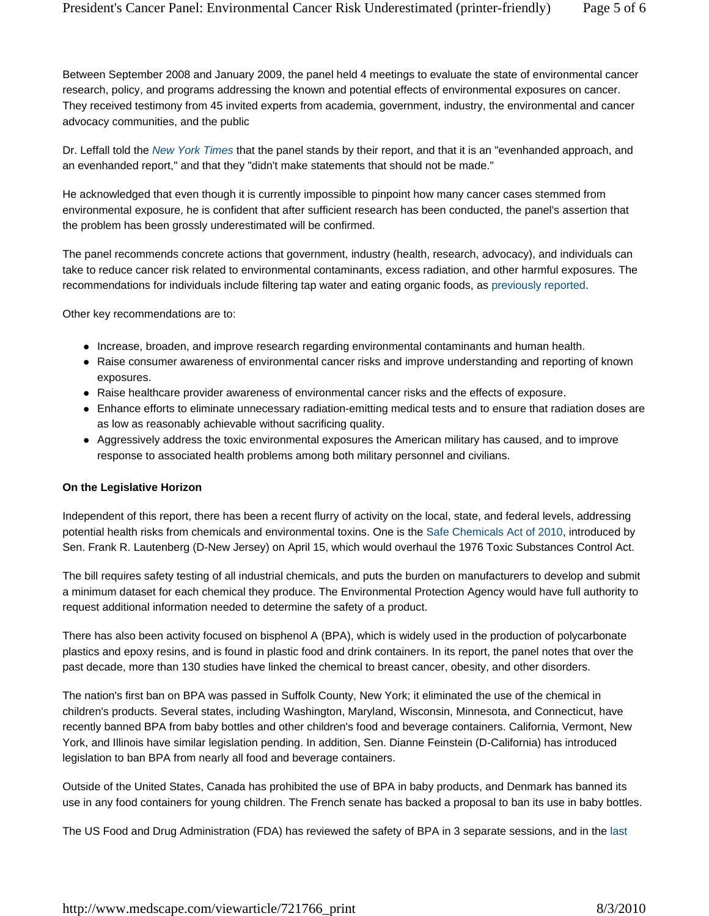Between September 2008 and January 2009, the panel held 4 meetings to evaluate the state of environmental cancer research, policy, and programs addressing the known and potential effects of environmental exposures on cancer. They received testimony from 45 invited experts from academia, government, industry, the environmental and cancer advocacy communities, and the public

Dr. Leffall told the *New York Times* that the panel stands by their report, and that it is an "evenhanded approach, and an evenhanded report," and that they "didn't make statements that should not be made."

He acknowledged that even though it is currently impossible to pinpoint how many cancer cases stemmed from environmental exposure, he is confident that after sufficient research has been conducted, the panel's assertion that the problem has been grossly underestimated will be confirmed.

The panel recommends concrete actions that government, industry (health, research, advocacy), and individuals can take to reduce cancer risk related to environmental contaminants, excess radiation, and other harmful exposures. The recommendations for individuals include filtering tap water and eating organic foods, as previously reported.

Other key recommendations are to:

- Increase, broaden, and improve research regarding environmental contaminants and human health.
- Raise consumer awareness of environmental cancer risks and improve understanding and reporting of known exposures.
- Raise healthcare provider awareness of environmental cancer risks and the effects of exposure.
- Enhance efforts to eliminate unnecessary radiation-emitting medical tests and to ensure that radiation doses are as low as reasonably achievable without sacrificing quality.
- Aggressively address the toxic environmental exposures the American military has caused, and to improve response to associated health problems among both military personnel and civilians.

#### **On the Legislative Horizon**

Independent of this report, there has been a recent flurry of activity on the local, state, and federal levels, addressing potential health risks from chemicals and environmental toxins. One is the Safe Chemicals Act of 2010, introduced by Sen. Frank R. Lautenberg (D-New Jersey) on April 15, which would overhaul the 1976 Toxic Substances Control Act.

The bill requires safety testing of all industrial chemicals, and puts the burden on manufacturers to develop and submit a minimum dataset for each chemical they produce. The Environmental Protection Agency would have full authority to request additional information needed to determine the safety of a product.

There has also been activity focused on bisphenol A (BPA), which is widely used in the production of polycarbonate plastics and epoxy resins, and is found in plastic food and drink containers. In its report, the panel notes that over the past decade, more than 130 studies have linked the chemical to breast cancer, obesity, and other disorders.

The nation's first ban on BPA was passed in Suffolk County, New York; it eliminated the use of the chemical in children's products. Several states, including Washington, Maryland, Wisconsin, Minnesota, and Connecticut, have recently banned BPA from baby bottles and other children's food and beverage containers. California, Vermont, New York, and Illinois have similar legislation pending. In addition, Sen. Dianne Feinstein (D-California) has introduced legislation to ban BPA from nearly all food and beverage containers.

Outside of the United States, Canada has prohibited the use of BPA in baby products, and Denmark has banned its use in any food containers for young children. The French senate has backed a proposal to ban its use in baby bottles.

The US Food and Drug Administration (FDA) has reviewed the safety of BPA in 3 separate sessions, and in the last